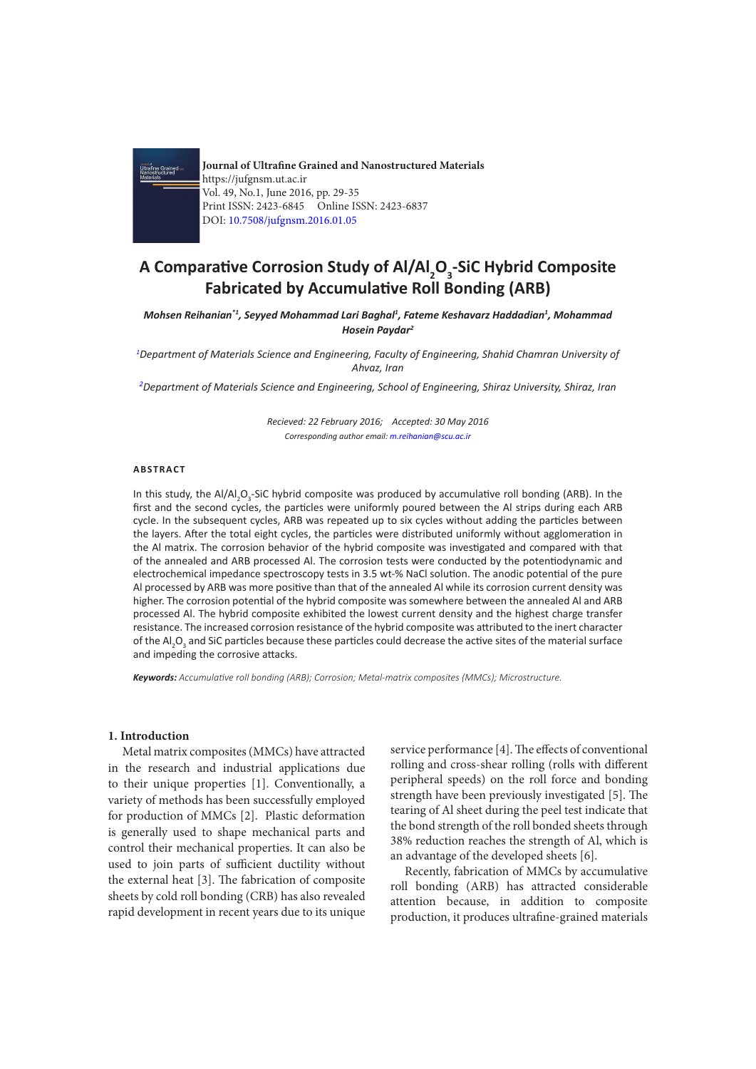

**Journal of Ultrafine Grained and Nanostructured Materials** https://jufgnsm.ut.ac.ir Vol. 49, No.1, June 2016, pp. 29-35 Print ISSN: 2423-6845 Online ISSN: 2423-6837 DOI: 10.7508/jufgnsm.2016.01.05

# **A Comparative Corrosion Study of Al/Al<sub>2</sub>O<sub>3</sub>-SiC Hybrid Composite Fabricated by Accumulative Roll Bonding (ARB)**

*Mohsen Reihanian\*1, Seyyed Mohammad Lari Baghal1 , Fateme Keshavarz Haddadian1 , Mohammad Hosein Paydar2*

*1 Department of Materials Science and Engineering, Faculty of Engineering, Shahid Chamran University of Ahvaz, Iran*

*2 Department of Materials Science and Engineering, School of Engineering, Shiraz University, Shiraz, Iran*

*Recieved: 22 February 2016; Accepted: 30 May 2016 Corresponding author email: m.reihanian@scu.ac.ir*

## **ABSTRACT**

In this study, the Al/Al<sub>2</sub>O<sub>3</sub>-SiC hybrid composite was produced by accumulative roll bonding (ARB). In the first and the second cycles, the particles were uniformly poured between the Al strips during each ARB cycle. In the subsequent cycles, ARB was repeated up to six cycles without adding the particles between the layers. After the total eight cycles, the particles were distributed uniformly without agglomeration in the Al matrix. The corrosion behavior of the hybrid composite was investigated and compared with that of the annealed and ARB processed Al. The corrosion tests were conducted by the potentiodynamic and electrochemical impedance spectroscopy tests in 3.5 wt-% NaCl solution. The anodic potential of the pure Al processed by ARB was more positive than that of the annealed Al while its corrosion current density was higher. The corrosion potential of the hybrid composite was somewhere between the annealed Al and ARB processed Al. The hybrid composite exhibited the lowest current density and the highest charge transfer resistance. The increased corrosion resistance of the hybrid composite was attributed to the inert character of the Al<sub>2</sub>O<sub>3</sub> and SiC particles because these particles could decrease the active sites of the material surface and impeding the corrosive attacks.

*Keywords: Accumulative roll bonding (ARB); Corrosion; Metal-matrix composites (MMCs); Microstructure.* 

## **1. Introduction**

Metal matrix composites (MMCs) have attracted in the research and industrial applications due to their unique properties [1]. Conventionally, a variety of methods has been successfully employed for production of MMCs [2]. Plastic deformation is generally used to shape mechanical parts and control their mechanical properties. It can also be used to join parts of sufficient ductility without the external heat [3]. The fabrication of composite sheets by cold roll bonding (CRB) has also revealed rapid development in recent years due to its unique service performance [4]. The effects of conventional rolling and cross-shear rolling (rolls with different peripheral speeds) on the roll force and bonding strength have been previously investigated [5]. The tearing of Al sheet during the peel test indicate that the bond strength of the roll bonded sheets through 38% reduction reaches the strength of Al, which is an advantage of the developed sheets [6].

Recently, fabrication of MMCs by accumulative roll bonding (ARB) has attracted considerable attention because, in addition to composite production, it produces ultrafine-grained materials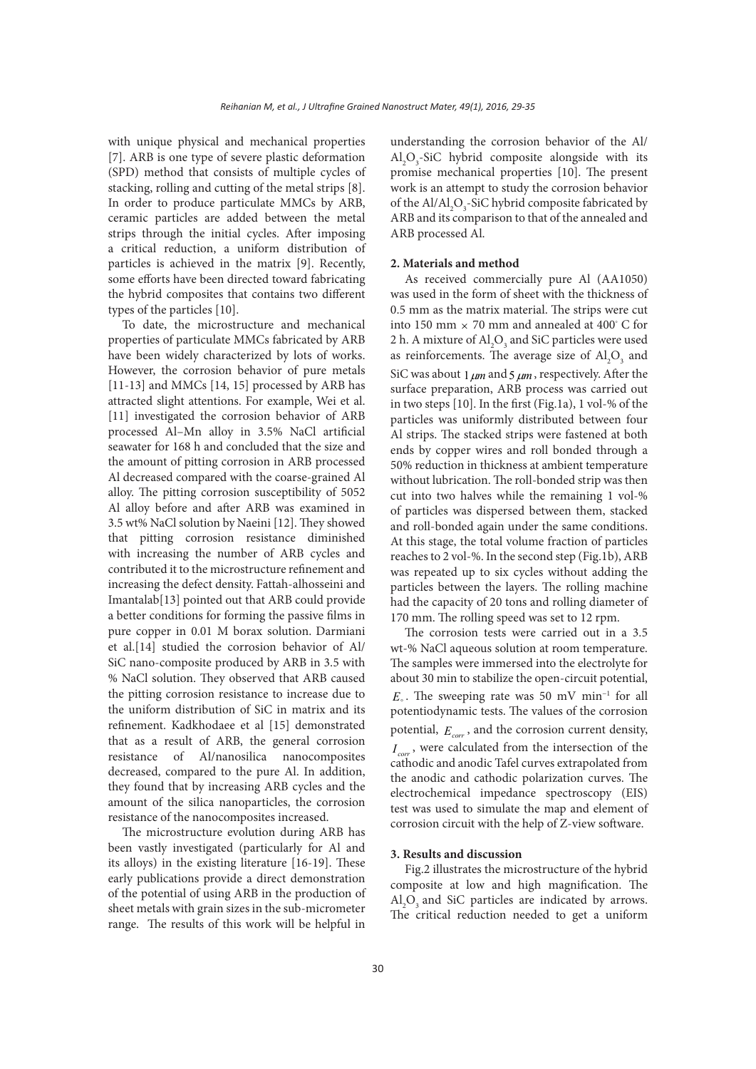with unique physical and mechanical properties [7]. ARB is one type of severe plastic deformation (SPD) method that consists of multiple cycles of stacking, rolling and cutting of the metal strips [8]. In order to produce particulate MMCs by ARB, ceramic particles are added between the metal strips through the initial cycles. After imposing a critical reduction, a uniform distribution of particles is achieved in the matrix [9]. Recently, some efforts have been directed toward fabricating the hybrid composites that contains two different types of the particles [10].

To date, the microstructure and mechanical properties of particulate MMCs fabricated by ARB have been widely characterized by lots of works. However, the corrosion behavior of pure metals [11-13] and MMCs [14, 15] processed by ARB has attracted slight attentions. For example, Wei et al. [11] investigated the corrosion behavior of ARB processed Al–Mn alloy in 3.5% NaCl artificial seawater for 168 h and concluded that the size and the amount of pitting corrosion in ARB processed Al decreased compared with the coarse-grained Al alloy. The pitting corrosion susceptibility of 5052 Al alloy before and after ARB was examined in 3.5 wt% NaCl solution by Naeini [12]. They showed that pitting corrosion resistance diminished with increasing the number of ARB cycles and contributed it to the microstructure refinement and increasing the defect density. Fattah-alhosseini and Imantalab[13] pointed out that ARB could provide a better conditions for forming the passive films in pure copper in 0.01 M borax solution. Darmiani et al.[14] studied the corrosion behavior of Al/ SiC nano-composite produced by ARB in 3.5 with % NaCl solution. They observed that ARB caused the pitting corrosion resistance to increase due to the uniform distribution of SiC in matrix and its refinement. Kadkhodaee et al [15] demonstrated that as a result of ARB, the general corrosion resistance of Al/nanosilica nanocomposites decreased, compared to the pure Al. In addition, they found that by increasing ARB cycles and the amount of the silica nanoparticles, the corrosion resistance of the nanocomposites increased.

The microstructure evolution during ARB has been vastly investigated (particularly for Al and its alloys) in the existing literature [16-19]. These early publications provide a direct demonstration of the potential of using ARB in the production of sheet metals with grain sizes in the sub-micrometer range. The results of this work will be helpful in

understanding the corrosion behavior of the Al/  $Al_2O_3$ -SiC hybrid composite alongside with its promise mechanical properties [10]. The present work is an attempt to study the corrosion behavior of the  $\text{Al}/\text{Al}_2\text{O}_3$ -SiC hybrid composite fabricated by ARB and its comparison to that of the annealed and ARB processed Al.

## **2. Materials and method**

As received commercially pure Al (AA1050) was used in the form of sheet with the thickness of 0.5 mm as the matrix material. The strips were cut into 150 mm  $\times$  70 mm and annealed at 400° C for 2 h. A mixture of  $\text{Al}_2\text{O}_3$  and SiC particles were used as reinforcements. The average size of  $\text{Al}_2\text{O}_3$  and SiC was about  $1 \mu m$  and  $5 \mu m$ , respectively. After the surface preparation, ARB process was carried out in two steps [10]. In the first (Fig.1a), 1 vol-% of the particles was uniformly distributed between four Al strips. The stacked strips were fastened at both ends by copper wires and roll bonded through a 50% reduction in thickness at ambient temperature without lubrication. The roll-bonded strip was then cut into two halves while the remaining 1 vol-% of particles was dispersed between them, stacked and roll-bonded again under the same conditions. At this stage, the total volume fraction of particles reaches to 2 vol-%. In the second step (Fig.1b), ARB was repeated up to six cycles without adding the particles between the layers. The rolling machine had the capacity of 20 tons and rolling diameter of 170 mm. The rolling speed was set to 12 rpm.

The corrosion tests were carried out in a 3.5 wt-% NaCl aqueous solution at room temperature. The samples were immersed into the electrolyte for about 30 min to stabilize the open-circuit potential, *E*<sub>°</sub>. The sweeping rate was 50 mV min<sup>-1</sup> for all potentiodynamic tests. The values of the corrosion potential, *Ecorr* , and the corrosion current density,  $I_{corr}$ , were calculated from the intersection of the cathodic and anodic Tafel curves extrapolated from the anodic and cathodic polarization curves. The electrochemical impedance spectroscopy (EIS) test was used to simulate the map and element of corrosion circuit with the help of Z-view software.

## **3. Results and discussion**

Fig.2 illustrates the microstructure of the hybrid composite at low and high magnification. The  $\text{Al}_2\text{O}_3$  and SiC particles are indicated by arrows. The critical reduction needed to get a uniform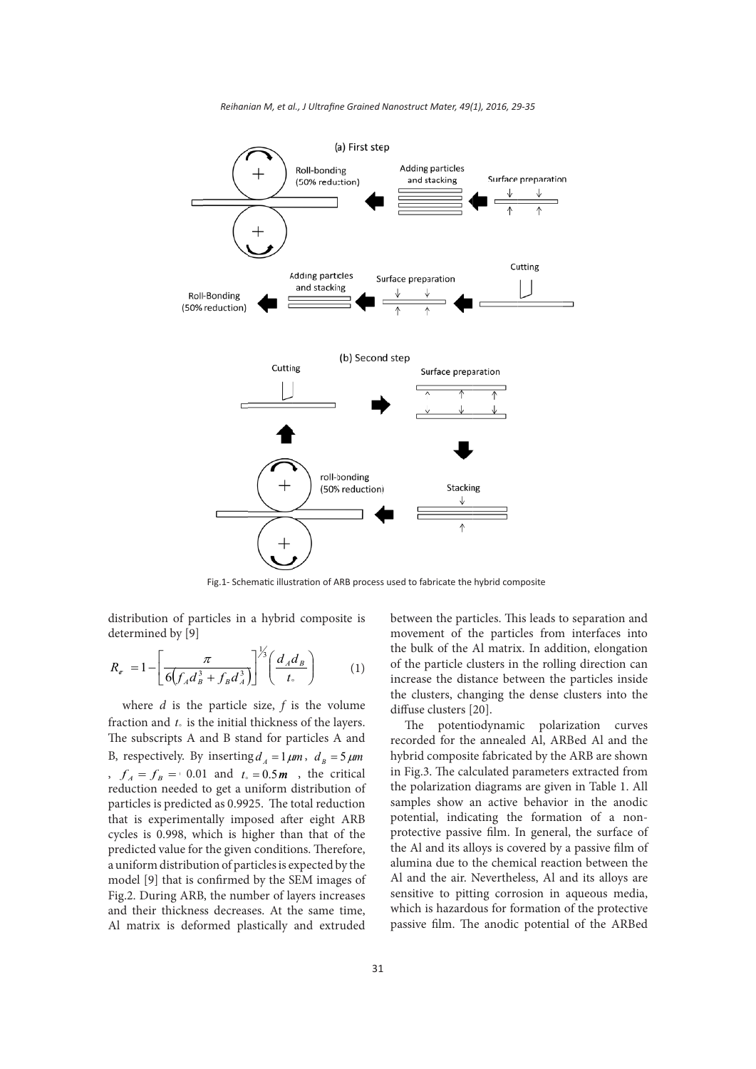

Fig.1- Schematic illustration of ARB process used to fabricate the hybrid composite

distribution of particles in a hybrid composite is determined by [9]

$$
R_{\sigma} = 1 - \left[ \frac{\pi}{6(f_A d_B^3 + f_B d_A^3)} \right]^{1/3} \left( \frac{d_A d_B}{t_{\circ}} \right)
$$
 (1)

where *d* is the particle size, *f* is the volume fraction and  $t<sub>s</sub>$  is the initial thickness of the layers. The subscripts A and B stand for particles A and B, respectively. By inserting  $d_A = 1 \mu m$ ,  $d_B = 5 \mu m$ ,  $f_A = f_B = 0.01$  and  $t_0 = 0.5$ *m*, the critical reduction needed to get a uniform distribution of particles is predicted as 0.9925. The total reduction that is experimentally imposed after eight ARB cycles is 0.998, which is higher than that of the predicted value for the given conditions. Therefore, a uniform distribution of particles is expected by the model [9] that is confirmed by the SEM images of Fig.2. During ARB, the number of layers increases and their thickness decreases. At the same time, Al matrix is deformed plastically and extruded between the particles. This leads to separation and movement of the particles from interfaces into the bulk of the Al matrix. In addition, elongation of the particle clusters in the rolling direction can increase the distance between the particles inside the clusters, changing the dense clusters into the diffuse clusters [20].

The potentiodynamic polarization curves recorded for the annealed Al, ARBed Al and the hybrid composite fabricated by the ARB are shown in Fig.3. The calculated parameters extracted from the polarization diagrams are given in Table 1. All samples show an active behavior in the anodic potential, indicating the formation of a nonprotective passive film. In general, the surface of the Al and its alloys is covered by a passive film of alumina due to the chemical reaction between the Al and the air. Nevertheless, Al and its alloys are sensitive to pitting corrosion in aqueous media, which is hazardous for formation of the protective passive film. The anodic potential of the ARBed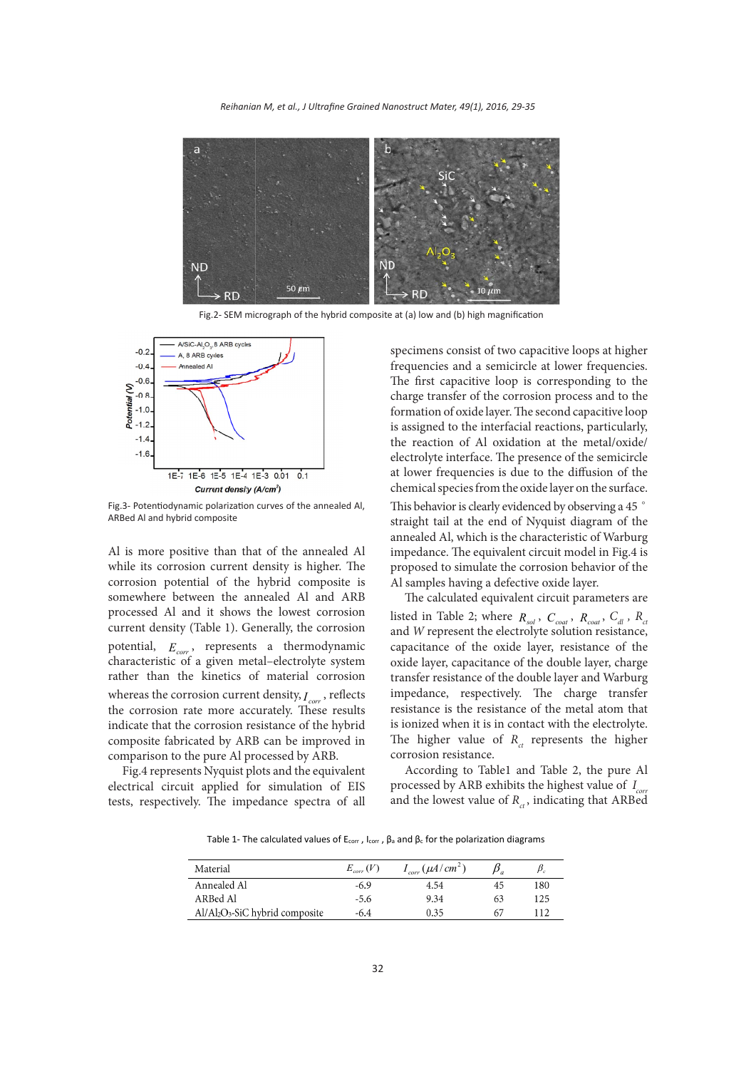*Reihanian M, et al., J Ultrafine Grained Nanostruct Mater, 49(1), 2016, 29-35* 



Fig.2- SEM micrograph of the hybrid composite at (a) low and (b) high magnification



Fig.3- Potentiodynamic polarization curves of the annealed Al, ARBed Al and hybrid composite

Al is more positive than that of the annealed Al while its corrosion current density is higher. The corrosion potential of the hybrid composite is somewhere between the annealed Al and ARB processed Al and it shows the lowest corrosion current density (Table 1). Generally, the corrosion potential,  $E_{cor}$ , represents a thermodynamic characteristic of a given metal–electrolyte system rather than the kinetics of material corrosion whereas the corrosion current density,  $I_{corr}$ , reflects the corrosion rate more accurately. These results indicate that the corrosion resistance of the hybrid composite fabricated by ARB can be improved in comparison to the pure Al processed by ARB.

Fig.4 represents Nyquist plots and the equivalent electrical circuit applied for simulation of EIS tests, respectively. The impedance spectra of all

specimens consist of two capacitive loops at higher frequencies and a semicircle at lower frequencies. The first capacitive loop is corresponding to the charge transfer of the corrosion process and to the formation of oxide layer. The second capacitive loop is assigned to the interfacial reactions, particularly, the reaction of Al oxidation at the metal/oxide/ electrolyte interface. The presence of the semicircle at lower frequencies is due to the diffusion of the chemical species from the oxide layer on the surface. This behavior is clearly evidenced by observing a 45 ° straight tail at the end of Nyquist diagram of the annealed Al, which is the characteristic of Warburg impedance. The equivalent circuit model in Fig.4 is proposed to simulate the corrosion behavior of the Al samples having a defective oxide layer.

The calculated equivalent circuit parameters are listed in Table 2; where  $R_{sol}$ ,  $C_{coat}$ ,  $R_{coat}$ ,  $C_{dl}$ ,  $R_{cl}$ and *W* represent the electrolyte solution resistance, capacitance of the oxide layer, resistance of the oxide layer, capacitance of the double layer, charge transfer resistance of the double layer and Warburg impedance, respectively. The charge transfer resistance is the resistance of the metal atom that is ionized when it is in contact with the electrolyte. The higher value of  $R<sub>ct</sub>$  represents the higher corrosion resistance.

According to Table1 and Table 2, the pure Al processed by ARB exhibits the highest value of *I corr* and the lowest value of  $R_{at}$ , indicating that ARBed

Table 1- The calculated values of  $E_{corr}$ ,  $I_{corr}$ ,  $\beta_a$  and  $\beta_c$  for the polarization diagrams

| Material                        | $E_{corr}(V)$ | $I_{corr}(\mu A/cm^2)$ |    |     |
|---------------------------------|---------------|------------------------|----|-----|
| Annealed Al                     | $-6.9$        | 4.54                   | 45 | 180 |
| ARBed Al                        | -5.6          | 9.34                   | 63 | 125 |
| $Al/Al2O3-SiC$ hybrid composite | -6.4          | 0.35                   | 67 | 112 |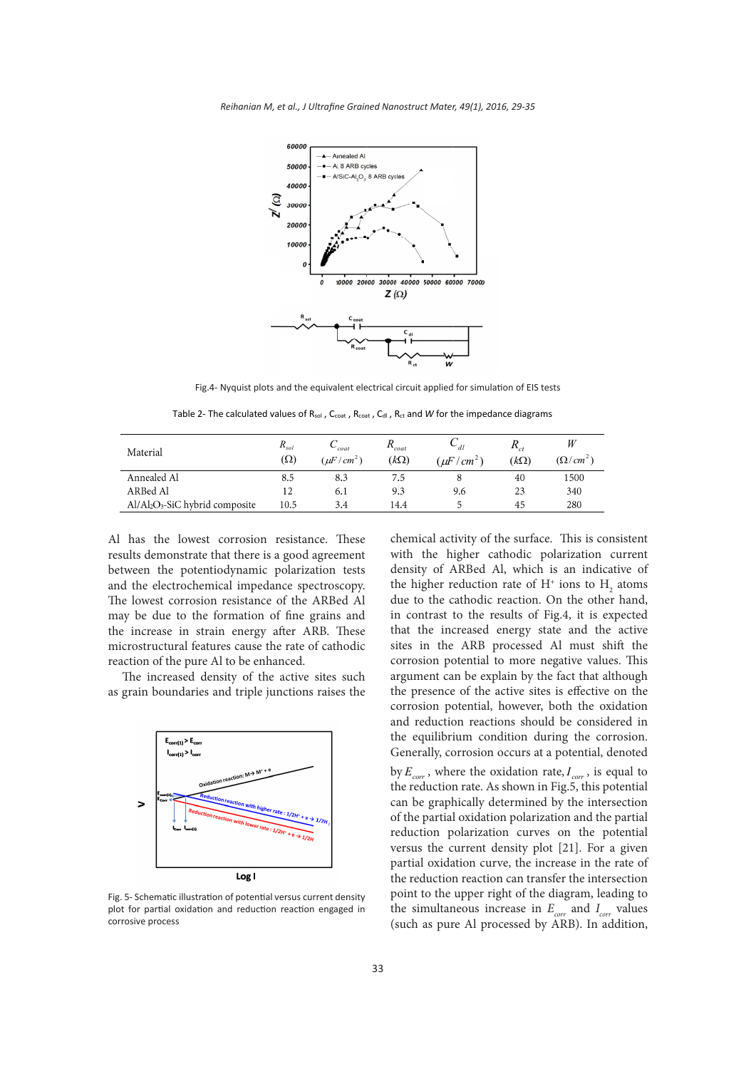

Fig.4- Nyquist plots and the equivalent electrical circuit applied for simulation of EIS tests

Table 2- The calculated values of R<sub>sol</sub>, C<sub>coat</sub>, R<sub>coat</sub>, C<sub>dl</sub>, R<sub>ct</sub> and *W* for the impedance diagrams

| Material                        | $R_{sol}$<br>$(\Omega)$ | $\sim_{\text{coat}}$<br>$(\mu F/cm^2)$ | $R_{coat}$<br>$(k\Omega)$ | $\cup_{dl}$<br>$(\mu F)$<br>/cm <sup>2</sup> | $\mathbf{r}_{ct}$<br>$(k\Omega)$ | W<br>$(\Omega/cm^2)$ |
|---------------------------------|-------------------------|----------------------------------------|---------------------------|----------------------------------------------|----------------------------------|----------------------|
| Annealed Al                     | 8.5                     | 8.3                                    | 7.5                       |                                              | 40                               | 1500                 |
| ARBed Al                        | 12                      | 6.1                                    | 9.3                       | 9.6                                          | 23                               | 340                  |
| $Al/Al2O3-SiC$ hybrid composite | 10.5                    | 3.4                                    | 14.4                      |                                              | 45                               | 280                  |

Al has the lowest corrosion resistance. These results demonstrate that there is a good agreement between the potentiodynamic polarization tests and the electrochemical impedance spectroscopy. The lowest corrosion resistance of the ARBed Al may be due to the formation of fine grains and the increase in strain energy after ARB. These microstructural features cause the rate of cathodic reaction of the pure Al to be enhanced.

The increased density of the active sites such as grain boundaries and triple junctions raises the



plot for partial oxidation and reduction reaction engaged in Fig. 5- Schematic illustration of potential versus current density corrosive process

chemical activity of the surface. This is consistent with the higher cathodic polarization current density of ARBed Al, which is an indicative of the higher reduction rate of  $H^+$  ions to  $H_2$  atoms due to the cathodic reaction. On the other hand, in contrast to the results of Fig.4, it is expected that the increased energy state and the active sites in the ARB processed Al must shift the corrosion potential to more negative values. This argument can be explain by the fact that although the presence of the active sites is effective on the corrosion potential, however, both the oxidation and reduction reactions should be considered in the equilibrium condition during the corrosion. Generally, corrosion occurs at a potential, denoted by  $E_{corr}$ , where the oxidation rate,  $I_{corr}$ , is equal to the reduction rate. As shown in Fig.5, this potential can be graphically determined by the intersection of the partial oxidation polarization and the partial reduction polarization curves on the potential versus the current density plot [21]. For a given partial oxidation curve, the increase in the rate of the reduction reaction can transfer the intersection point to the upper right of the diagram, leading to the simultaneous increase in  $E_{\text{corr}}$  and  $I_{\text{corr}}$  values (such as pure Al processed by ARB). In addition,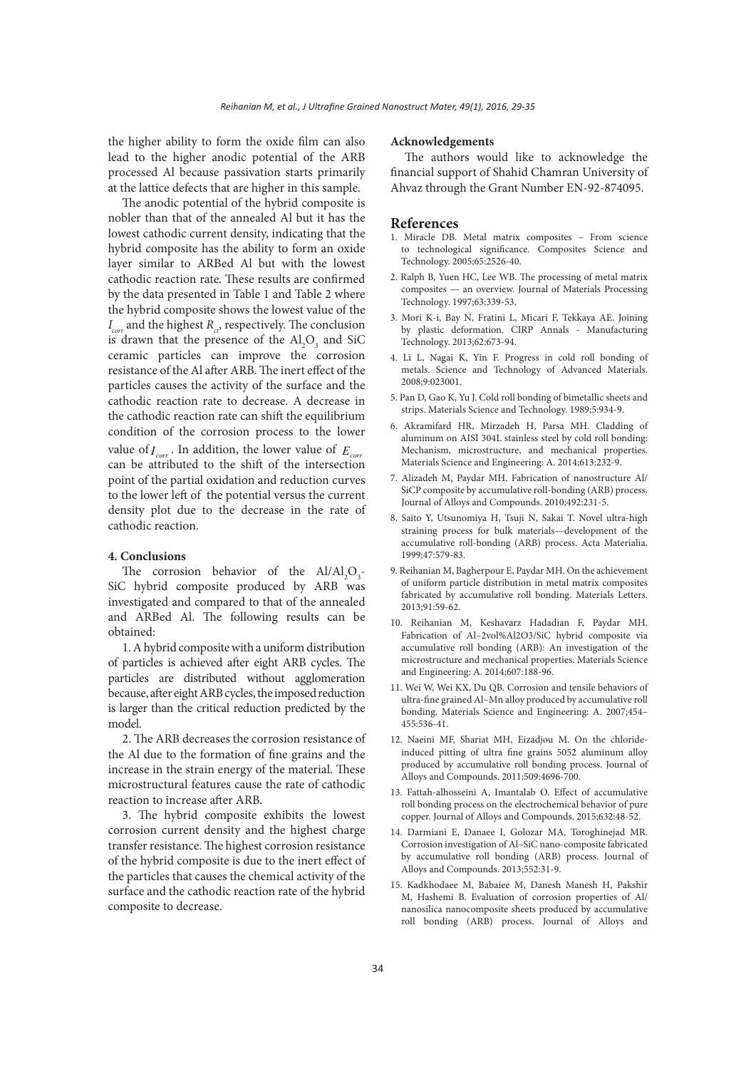the higher ability to form the oxide film can also lead to the higher anodic potential of the ARB processed Al because passivation starts primarily at the lattice defects that are higher in this sample.

The anodic potential of the hybrid composite is nobler than that of the annealed Al but it has the lowest cathodic current density, indicating that the hybrid composite has the ability to form an oxide layer similar to ARBed Al but with the lowest cathodic reaction rate. These results are confirmed by the data presented in Table 1 and Table 2 where the hybrid composite shows the lowest value of the  $I_{\text{corr}}$  and the highest  $R_{\text{cr}}$ , respectively. The conclusion is drawn that the presence of the  $\text{Al}_2\text{O}_3$  and SiC ceramic particles can improve the corrosion resistance of the Al after ARB. The inert effect of the particles causes the activity of the surface and the cathodic reaction rate to decrease. A decrease in the cathodic reaction rate can shift the equilibrium condition of the corrosion process to the lower value of  $I_{corr}$ . In addition, the lower value of  $E_{corr}$ can be attributed to the shift of the intersection point of the partial oxidation and reduction curves to the lower left of the potential versus the current density plot due to the decrease in the rate of cathodic reaction.

#### **4. Conclusions**

The corrosion behavior of the  $Al/Al_2O_3$ -SiC hybrid composite produced by ARB was investigated and compared to that of the annealed and ARBed Al. The following results can be obtained:

1. A hybrid composite with a uniform distribution of particles is achieved after eight ARB cycles. The particles are distributed without agglomeration because, after eight ARB cycles, the imposed reduction is larger than the critical reduction predicted by the model.

2. The ARB decreases the corrosion resistance of the Al due to the formation of fine grains and the increase in the strain energy of the material. These microstructural features cause the rate of cathodic reaction to increase after ARB.

3. The hybrid composite exhibits the lowest corrosion current density and the highest charge transfer resistance. The highest corrosion resistance of the hybrid composite is due to the inert effect of the particles that causes the chemical activity of the surface and the cathodic reaction rate of the hybrid composite to decrease.

#### **Acknowledgements**

The authors would like to acknowledge the financial support of Shahid Chamran University of Ahvaz through the Grant Number EN-92-874095.

#### **References**

- 1. Miracle DB. Metal matrix composites From science to technological significance. Composites Science and Technology. 2005;65:2526-40.
- 2. Ralph B, Yuen HC, Lee WB. The processing of metal matrix composites — an overview. Journal of Materials Processing Technology. 1997;63:339-53.
- 3. Mori K-i, Bay N, Fratini L, Micari F, Tekkaya AE. Joining by plastic deformation. CIRP Annals - Manufacturing Technology. 2013;62:673-94.
- 4. Li L, Nagai K, Yin F. Progress in cold roll bonding of metals. Science and Technology of Advanced Materials. 2008;9:023001.
- 5. Pan D, Gao K, Yu J. Cold roll bonding of bimetallic sheets and strips. Materials Science and Technology. 1989;5:934-9.
- 6. Akramifard HR, Mirzadeh H, Parsa MH. Cladding of aluminum on AISI 304L stainless steel by cold roll bonding: Mechanism, microstructure, and mechanical properties. Materials Science and Engineering: A. 2014;613:232-9.
- 7. Alizadeh M, Paydar MH. Fabrication of nanostructure Al/ SiCP composite by accumulative roll-bonding (ARB) process. Journal of Alloys and Compounds. 2010;492:231-5.
- 8. Saito Y, Utsunomiya H, Tsuji N, Sakai T. Novel ultra-high straining process for bulk materials—development of the accumulative roll-bonding (ARB) process. Acta Materialia. 1999;47:579-83.
- 9. Reihanian M, Bagherpour E, Paydar MH. On the achievement of uniform particle distribution in metal matrix composites fabricated by accumulative roll bonding. Materials Letters. 2013;91:59-62.
- 10. Reihanian M, Keshavarz Hadadian F, Paydar MH. Fabrication of Al–2vol%Al2O3/SiC hybrid composite via accumulative roll bonding (ARB): An investigation of the microstructure and mechanical properties. Materials Science and Engineering: A. 2014;607:188-96.
- 11. Wei W, Wei KX, Du QB. Corrosion and tensile behaviors of ultra-fine grained Al–Mn alloy produced by accumulative roll bonding. Materials Science and Engineering: A. 2007;454– 455:536-41.
- 12. Naeini MF, Shariat MH, Eizadjou M. On the chlorideinduced pitting of ultra fine grains 5052 aluminum alloy produced by accumulative roll bonding process. Journal of Alloys and Compounds. 2011;509:4696-700.
- 13. Fattah-alhosseini A, Imantalab O. Effect of accumulative roll bonding process on the electrochemical behavior of pure copper. Journal of Alloys and Compounds. 2015;632:48-52.
- 14. Darmiani E, Danaee I, Golozar MA, Toroghinejad MR. Corrosion investigation of Al–SiC nano-composite fabricated by accumulative roll bonding (ARB) process. Journal of Alloys and Compounds. 2013;552:31-9.
- 15. Kadkhodaee M, Babaiee M, Danesh Manesh H, Pakshir M, Hashemi B. Evaluation of corrosion properties of Al/ nanosilica nanocomposite sheets produced by accumulative roll bonding (ARB) process. Journal of Alloys and